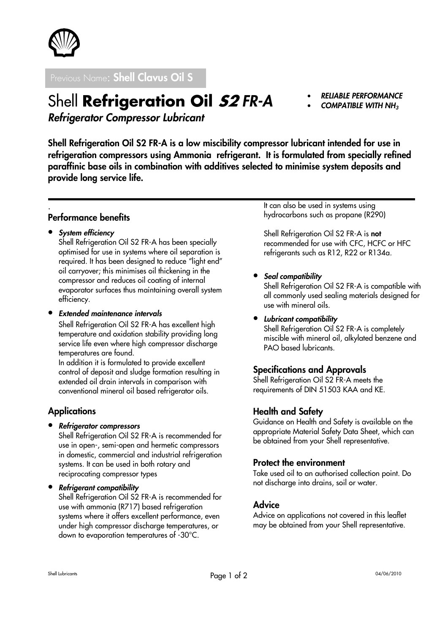

Previous Name: Shell Clavus Oil S

Shell Refrigeration Oil 52 FR-A

# • RELIABLE PERFORMANCE

• COMPATIBLE WITH NH<sup>3</sup>

Refrigerator Compressor Lubricant

Shell Refrigeration Oil S2 FR-A is a low miscibility compressor lubricant intended for use in refrigeration compressors using Ammonia refrigerant. It is formulated from specially refined paraffinic base oils in combination with additives selected to minimise system deposits and provide long service life.

#### . Performance benefits

• System efficiency

Shell Refrigeration Oil S2 FR-A has been specially optimised for use in systems where oil separation is required. It has been designed to reduce "light end" oil carryover; this minimises oil thickening in the compressor and reduces oil coating of internal evaporator surfaces thus maintaining overall system efficiency.

• Extended maintenance intervals

Shell Refrigeration Oil S2 FR-A has excellent high temperature and oxidation stability providing long service life even where high compressor discharge temperatures are found.

In addition it is formulated to provide excellent control of deposit and sludge formation resulting in extended oil drain intervals in comparison with conventional mineral oil based refrigerator oils.

# **Applications**

• Refrigerator compressors

Shell Refrigeration Oil S2 FR-A is recommended for use in open-, semi-open and hermetic compressors in domestic, commercial and industrial refrigeration systems. It can be used in both rotary and reciprocating compressor types

• Refrigerant compatibility

Shell Refrigeration Oil S2 FR-A is recommended for use with ammonia (R717) based refrigeration systems where it offers excellent performance, even under high compressor discharge temperatures, or down to evaporation temperatures of -30°C.

It can also be used in systems using hydrocarbons such as propane (R290)

Shell Refrigeration Oil S2 FR-A is not recommended for use with CFC, HCFC or HFC refrigerants such as R12, R22 or R134a.

#### • Seal compatibility

Shell Refrigeration Oil S2 FR-A is compatible with all commonly used sealing materials designed for use with mineral oils.

#### • Lubricant compatibility

Shell Refrigeration Oil S2 FR-A is completely miscible with mineral oil, alkylated benzene and PAO based lubricants.

# Specifications and Approvals

Shell Refrigeration Oil S2 FR-A meets the requirements of DIN 51503 KAA and KE.

# Health and Safety

Guidance on Health and Safety is available on the appropriate Material Safety Data Sheet, which can be obtained from your Shell representative.

#### Protect the environment

Take used oil to an authorised collection point. Do not discharge into drains, soil or water.

# Advice

Advice on applications not covered in this leaflet may be obtained from your Shell representative.